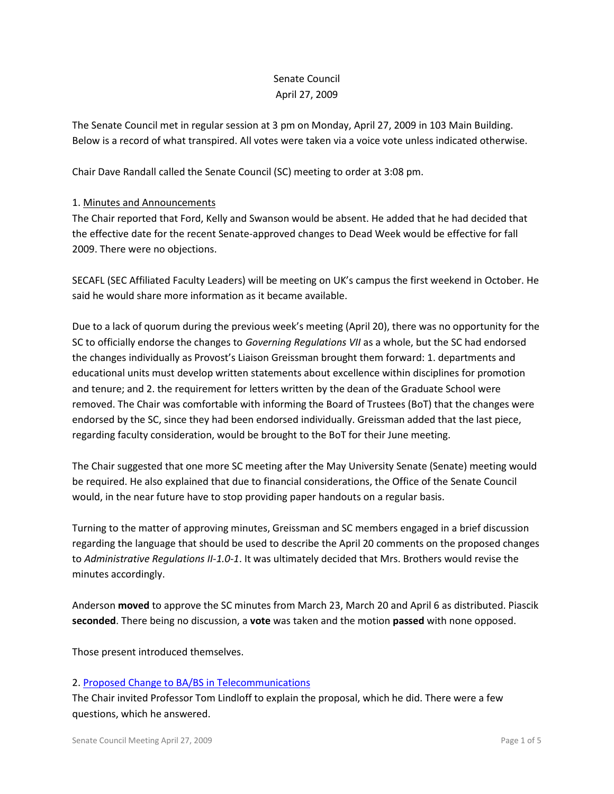# Senate Council April 27, 2009

The Senate Council met in regular session at 3 pm on Monday, April 27, 2009 in 103 Main Building. Below is a record of what transpired. All votes were taken via a voice vote unless indicated otherwise.

Chair Dave Randall called the Senate Council (SC) meeting to order at 3:08 pm.

## 1. Minutes and Announcements

The Chair reported that Ford, Kelly and Swanson would be absent. He added that he had decided that the effective date for the recent Senate-approved changes to Dead Week would be effective for fall 2009. There were no objections.

SECAFL (SEC Affiliated Faculty Leaders) will be meeting on UK's campus the first weekend in October. He said he would share more information as it became available.

Due to a lack of quorum during the previous week's meeting (April 20), there was no opportunity for the SC to officially endorse the changes to *Governing Regulations VII* as a whole, but the SC had endorsed the changes individually as Provost's Liaison Greissman brought them forward: 1. departments and educational units must develop written statements about excellence within disciplines for promotion and tenure; and 2. the requirement for letters written by the dean of the Graduate School were removed. The Chair was comfortable with informing the Board of Trustees (BoT) that the changes were endorsed by the SC, since they had been endorsed individually. Greissman added that the last piece, regarding faculty consideration, would be brought to the BoT for their June meeting.

The Chair suggested that one more SC meeting after the May University Senate (Senate) meeting would be required. He also explained that due to financial considerations, the Office of the Senate Council would, in the near future have to stop providing paper handouts on a regular basis.

Turning to the matter of approving minutes, Greissman and SC members engaged in a brief discussion regarding the language that should be used to describe the April 20 comments on the proposed changes to *Administrative Regulations II-1.0-1*. It was ultimately decided that Mrs. Brothers would revise the minutes accordingly.

Anderson **moved** to approve the SC minutes from March 23, March 20 and April 6 as distributed. Piascik **seconded**. There being no discussion, a **vote** was taken and the motion **passed** with none opposed.

Those present introduced themselves.

#### 2. [Proposed Change to BA/BS in Telecommunications](http://www.uky.edu/Faculty/Senate/files/BA-BS%20Telecommunications%20-%20Pgm%20Change_Complete1.pdf)

The Chair invited Professor Tom Lindloff to explain the proposal, which he did. There were a few questions, which he answered.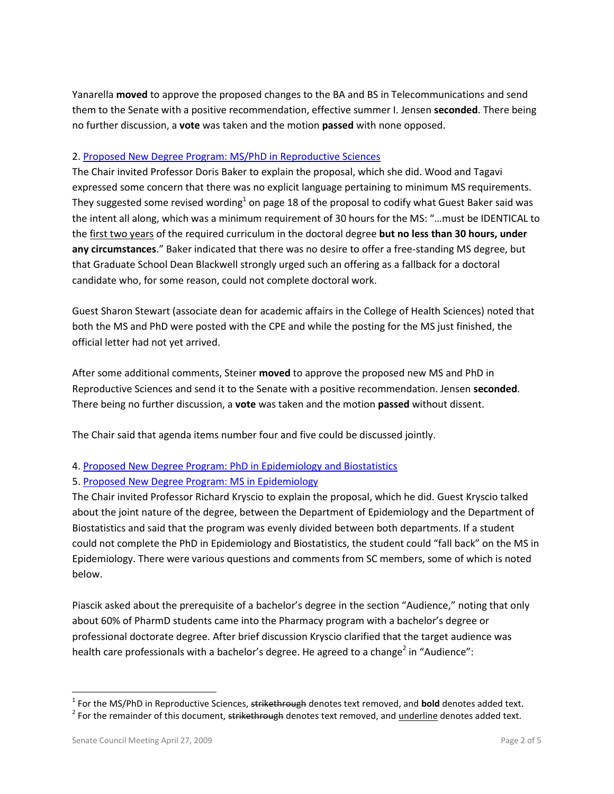Yanarella **moved** to approve the proposed changes to the BA and BS in Telecommunications and send them to the Senate with a positive recommendation, effective summer I. Jensen **seconded**. There being no further discussion, a **vote** was taken and the motion **passed** with none opposed.

#### 2. [Proposed New Degree Program: MS/PhD in Reproductive Sciences](http://www.uky.edu/Faculty/Senate/files/MS-PhD%20Reproductive%20Sciences%20-%20New%20Program_Complete2.pdf)

The Chair invited Professor Doris Baker to explain the proposal, which she did. Wood and Tagavi expressed some concern that there was no explicit language pertaining to minimum MS requirements. They suggested some revised wording<sup>1</sup> on page 18 of the proposal to codify what Guest Baker said was the intent all along, which was a minimum requirement of 30 hours for the MS: "…must be IDENTICAL to the first two years of the required curriculum in the doctoral degree **but no less than 30 hours, under any circumstances**." Baker indicated that there was no desire to offer a free-standing MS degree, but that Graduate School Dean Blackwell strongly urged such an offering as a fallback for a doctoral candidate who, for some reason, could not complete doctoral work.

Guest Sharon Stewart (associate dean for academic affairs in the College of Health Sciences) noted that both the MS and PhD were posted with the CPE and while the posting for the MS just finished, the official letter had not yet arrived.

After some additional comments, Steiner **moved** to approve the proposed new MS and PhD in Reproductive Sciences and send it to the Senate with a positive recommendation. Jensen **seconded**. There being no further discussion, a **vote** was taken and the motion **passed** without dissent.

The Chair said that agenda items number four and five could be discussed jointly.

#### 4. [Proposed New Degree Program: PhD in Epidemiology and Biostatistics](http://www.uky.edu/Faculty/Senate/files/PhD%20Epidemiology%20&%20Biostats%20-%20New%20Program_Complete.pdf)

#### 5. [Proposed New Degree Program: MS in Epidemiology](http://www.uky.edu/Faculty/Senate/files/MS%20Epidemiology%20-%20New%20Program_Complete1.pdf)

The Chair invited Professor Richard Kryscio to explain the proposal, which he did. Guest Kryscio talked about the joint nature of the degree, between the Department of Epidemiology and the Department of Biostatistics and said that the program was evenly divided between both departments. If a student could not complete the PhD in Epidemiology and Biostatistics, the student could "fall back" on the MS in Epidemiology. There were various questions and comments from SC members, some of which is noted below.

Piascik asked about the prerequisite of a bachelor's degree in the section "Audience," noting that only about 60% of PharmD students came into the Pharmacy program with a bachelor's degree or professional doctorate degree. After brief discussion Kryscio clarified that the target audience was health care professionals with a bachelor's degree. He agreed to a change<sup>2</sup> in "Audience":

 1 For the MS/PhD in Reproductive Sciences, strikethrough denotes text removed, and **bold** denotes added text.

<sup>&</sup>lt;sup>2</sup> For the remainder of this document, <del>strikethrough</del> denotes text removed, and <u>underline</u> denotes added text.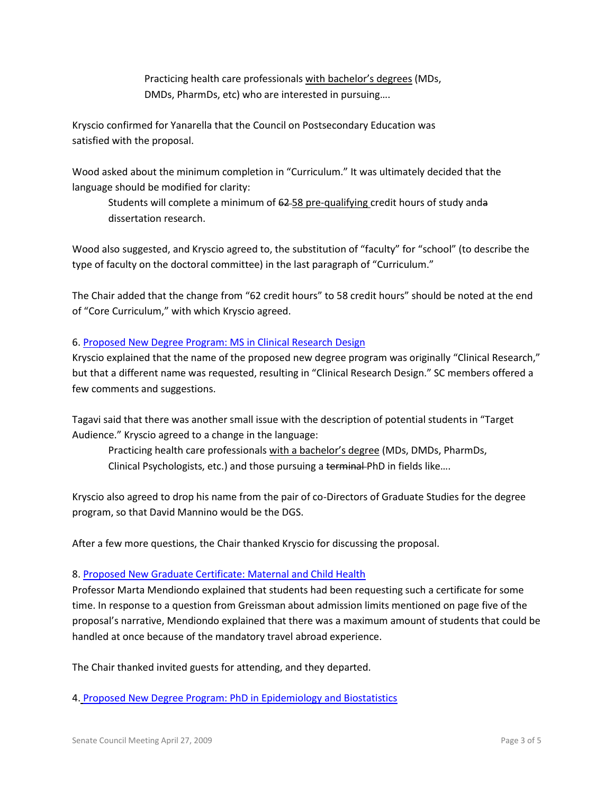Practicing health care professionals with bachelor's degrees (MDs, DMDs, PharmDs, etc) who are interested in pursuing….

Kryscio confirmed for Yanarella that the Council on Postsecondary Education was satisfied with the proposal.

Wood asked about the minimum completion in "Curriculum." It was ultimately decided that the language should be modified for clarity:

Students will complete a minimum of 62 58 pre-qualifying credit hours of study anda dissertation research.

Wood also suggested, and Kryscio agreed to, the substitution of "faculty" for "school" (to describe the type of faculty on the doctoral committee) in the last paragraph of "Curriculum."

The Chair added that the change from "62 credit hours" to 58 credit hours" should be noted at the end of "Core Curriculum," with which Kryscio agreed.

# 6. [Proposed New Degree Program: MS in Clinical Research Design](http://www.uky.edu/Faculty/Senate/files/MS%20Clinical%20Research%20-%20New%20Program_Complete1.pdf)

Kryscio explained that the name of the proposed new degree program was originally "Clinical Research," but that a different name was requested, resulting in "Clinical Research Design." SC members offered a few comments and suggestions.

Tagavi said that there was another small issue with the description of potential students in "Target Audience." Kryscio agreed to a change in the language:

Practicing health care professionals with a bachelor's degree (MDs, DMDs, PharmDs, Clinical Psychologists, etc.) and those pursuing a terminal PhD in fields like....

Kryscio also agreed to drop his name from the pair of co-Directors of Graduate Studies for the degree program, so that David Mannino would be the DGS.

After a few more questions, the Chair thanked Kryscio for discussing the proposal.

#### 8. [Proposed New Graduate Certificate: Maternal and Child Health](http://www.uky.edu/Faculty/Senate/files/Maternal%20&%20Child%20Health%20-%20New%20Grad%20Cert_Complete2.pdf)

Professor Marta Mendiondo explained that students had been requesting such a certificate for some time. In response to a question from Greissman about admission limits mentioned on page five of the proposal's narrative, Mendiondo explained that there was a maximum amount of students that could be handled at once because of the mandatory travel abroad experience.

The Chair thanked invited guests for attending, and they departed.

4. [Proposed New Degree Program: PhD in Epidemiology and Biostatistics](http://www.uky.edu/Faculty/Senate/files/PhD%20Epidemiology%20&%20Biostats%20-%20New%20Program_Complete.pdf)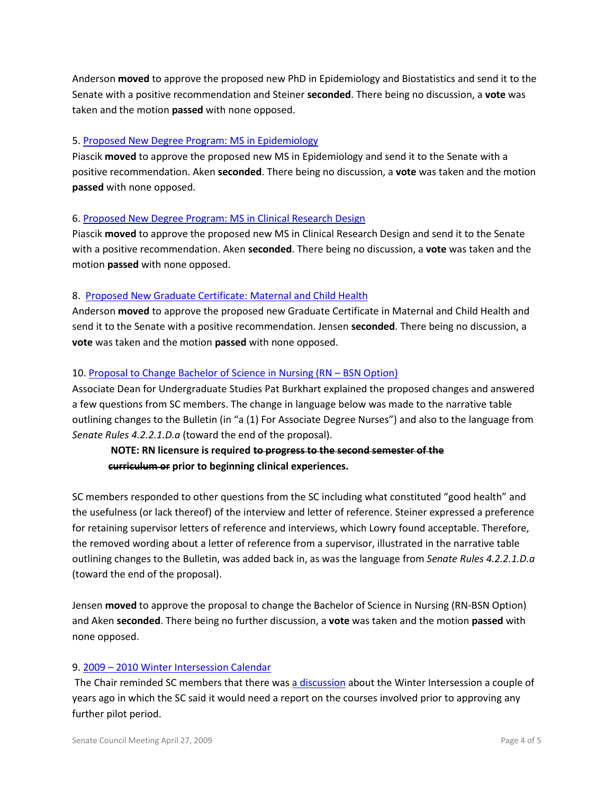Anderson **moved** to approve the proposed new PhD in Epidemiology and Biostatistics and send it to the Senate with a positive recommendation and Steiner **seconded**. There being no discussion, a **vote** was taken and the motion **passed** with none opposed.

#### 5. [Proposed New Degree Program: MS in Epidemiology](http://www.uky.edu/Faculty/Senate/files/MS%20Epidemiology%20-%20New%20Program_Complete1.pdf)

Piascik **moved** to approve the proposed new MS in Epidemiology and send it to the Senate with a positive recommendation. Aken **seconded**. There being no discussion, a **vote** was taken and the motion **passed** with none opposed.

## 6. [Proposed New Degree Program: MS in Clinical Research Design](http://www.uky.edu/Faculty/Senate/files/MS%20Clinical%20Research%20-%20New%20Program_Complete1.pdf)

Piascik **moved** to approve the proposed new MS in Clinical Research Design and send it to the Senate with a positive recommendation. Aken **seconded**. There being no discussion, a **vote** was taken and the motion **passed** with none opposed.

## 8. [Proposed New Graduate Certificate: Maternal and Child Health](http://www.uky.edu/Faculty/Senate/files/Maternal%20&%20Child%20Health%20-%20New%20Grad%20Cert_Complete2.pdf)

Anderson **moved** to approve the proposed new Graduate Certificate in Maternal and Child Health and send it to the Senate with a positive recommendation. Jensen **seconded**. There being no discussion, a **vote** was taken and the motion **passed** with none opposed.

## 10[. Proposal to Change Bachelor of Science in Nursing \(RN](http://www.uky.edu/Faculty/Senate/files/BSN%20-%20Prog%20Change_Complete.pdf) – BSN Option)

Associate Dean for Undergraduate Studies Pat Burkhart explained the proposed changes and answered a few questions from SC members. The change in language below was made to the narrative table outlining changes to the Bulletin (in "a (1) For Associate Degree Nurses") and also to the language from *Senate Rules 4.2.2.1.D.a* (toward the end of the proposal).

# **NOTE: RN licensure is required to progress to the second semester of the curriculum or prior to beginning clinical experiences.**

SC members responded to other questions from the SC including what constituted "good health" and the usefulness (or lack thereof) of the interview and letter of reference. Steiner expressed a preference for retaining supervisor letters of reference and interviews, which Lowry found acceptable. Therefore, the removed wording about a letter of reference from a supervisor, illustrated in the narrative table outlining changes to the Bulletin, was added back in, as was the language from *Senate Rules 4.2.2.1.D.a* (toward the end of the proposal).

Jensen **moved** to approve the proposal to change the Bachelor of Science in Nursing (RN-BSN Option) and Aken **seconded**. There being no further discussion, a **vote** was taken and the motion **passed** with none opposed.

# 9. 2009 – [2010 Winter Intersession Calendar](http://www.uky.edu/Faculty/Senate/files/2009-10%20Winter%20Intersession%20Calendar.pdf)

The Chair reminded SC members that there was [a discussion](http://www.uky.edu/Faculty/Senate/files/Snippet%20from%20SC%20Minutes%203-26-07.pdf) about the Winter Intersession a couple of years ago in which the SC said it would need a report on the courses involved prior to approving any further pilot period.